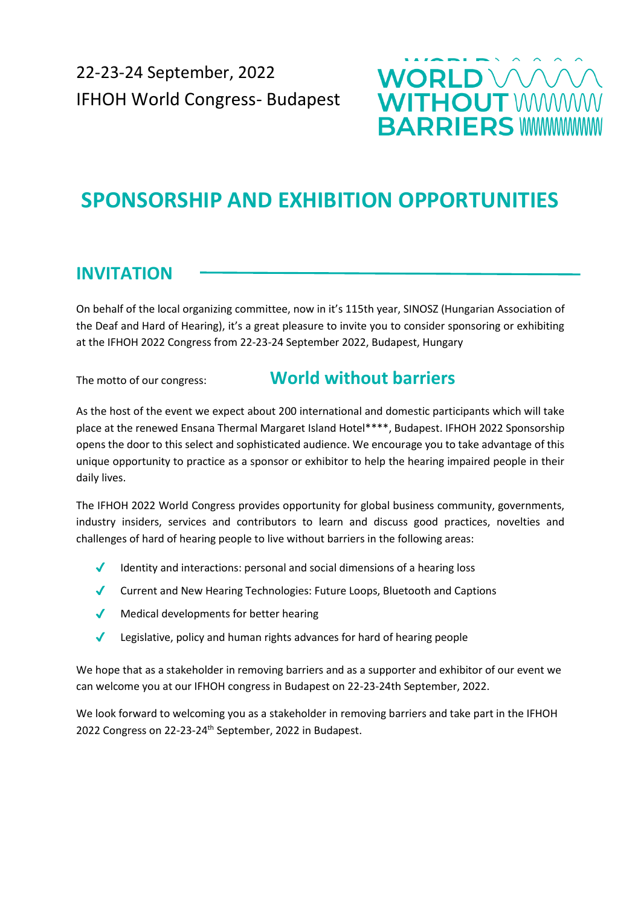

# **SPONSORSHIP AND EXHIBITION OPPORTUNITIES**

# **INVITATION**

On behalf of the local organizing committee, now in it's 115th year, SINOSZ (Hungarian Association of the Deaf and Hard of Hearing), it's a great pleasure to invite you to consider sponsoring or exhibiting at the IFHOH 2022 Congress from 22-23-24 September 2022, Budapest, Hungary

## The motto of our congress: **World without barriers**

As the host of the event we expect about 200 international and domestic participants which will take place at the renewed Ensana Thermal Margaret Island Hotel\*\*\*\*, Budapest. IFHOH 2022 Sponsorship opens the door to this select and sophisticated audience. We encourage you to take advantage of this unique opportunity to practice as a sponsor or exhibitor to help the hearing impaired people in their daily lives.

The IFHOH 2022 World Congress provides opportunity for global business community, governments, industry insiders, services and contributors to learn and discuss good practices, novelties and challenges of hard of hearing people to live without barriers in the following areas:

- Identity and interactions: personal and social dimensions of a hearing loss
- ✔ Current and New Hearing Technologies: Future Loops, Bluetooth and Captions
- ◆ Medical developments for better hearing
- Legislative, policy and human rights advances for hard of hearing people

We hope that as a stakeholder in removing barriers and as a supporter and exhibitor of our event we can welcome you at our IFHOH congress in Budapest on 22-23-24th September, 2022.

We look forward to welcoming you as a stakeholder in removing barriers and take part in the IFHOH 2022 Congress on 22-23-24<sup>th</sup> September, 2022 in Budapest.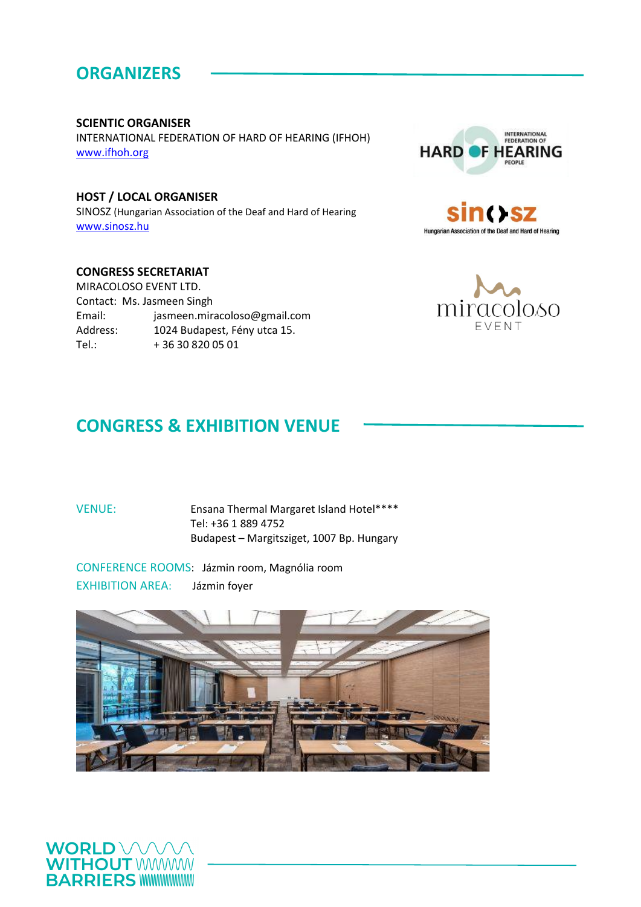# **ORGANIZERS**

#### **SCIENTIC ORGANISER**

INTERNATIONAL FEDERATION OF HARD OF HEARING (IFHOH) [www.ifhoh.org](http://www.ifhoh.org/)

### **HOST / LOCAL ORGANISER**

SINOSZ (Hungarian Association of the Deaf and Hard of Hearing [www.sinosz.hu](http://www.sinosz.hu/)

#### **CONGRESS SECRETARIAT**

MIRACOLOSO EVENT LTD. Contact: Ms. Jasmeen Singh Email: jasmeen.miracoloso@gmail.com Address: 1024 Budapest, Fény utca 15. Tel.: + 36 30 820 05 01







# **CONGRESS & EXHIBITION VENUE**

#### VENUE: Ensana Thermal Margaret Island Hotel\*\*\*\* Tel: +36 1 889 4752 Budapest – Margitsziget, 1007 Bp. Hungary

CONFERENCE ROOMS: Jázmin room, Magnólia room EXHIBITION AREA: Jázmin foyer



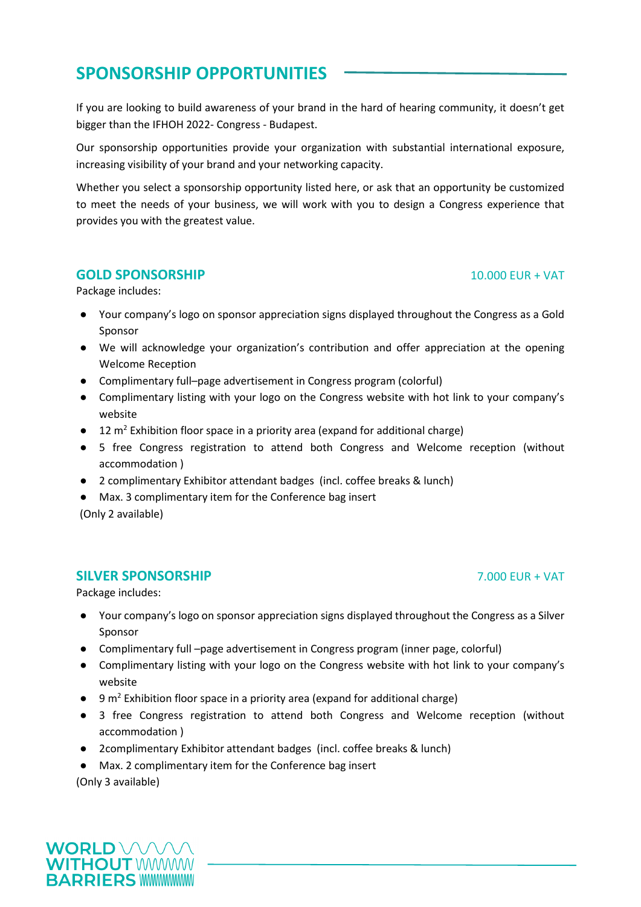# **SPONSORSHIP OPPORTUNITIES**

If you are looking to build awareness of your brand in the hard of hearing community, it doesn't get bigger than the IFHOH 2022- Congress - Budapest.

Our sponsorship opportunities provide your organization with substantial international exposure, increasing visibility of your brand and your networking capacity.

Whether you select a sponsorship opportunity listed here, or ask that an opportunity be customized to meet the needs of your business, we will work with you to design a Congress experience that provides you with the greatest value.

#### **GOLD SPONSORSHIP** 10.000 EUR + VAT

Package includes:

- Your company's logo on sponsor appreciation signs displayed throughout the Congress as a Gold Sponsor
- We will acknowledge your organization's contribution and offer appreciation at the opening Welcome Reception
- Complimentary full–page advertisement in Congress program (colorful)
- Complimentary listing with your logo on the Congress website with hot link to your company's website
- 12 m<sup>2</sup> Exhibition floor space in a priority area (expand for additional charge)
- 5 free Congress registration to attend both Congress and Welcome reception (without accommodation )
- 2 complimentary Exhibitor attendant badges (incl. coffee breaks & lunch)
- Max. 3 complimentary item for the Conference bag insert

(Only 2 available)

#### **SILVER SPONSORSHIP** 7.000 EUR + VAT

Package includes:

- Your company's logo on sponsor appreciation signs displayed throughout the Congress as a Silver Sponsor
- Complimentary full –page advertisement in Congress program (inner page, colorful)
- Complimentary listing with your logo on the Congress website with hot link to your company's website
- $\bullet$  9 m<sup>2</sup> Exhibition floor space in a priority area (expand for additional charge)
- 3 free Congress registration to attend both Congress and Welcome reception (without accommodation )
- 2complimentary Exhibitor attendant badges (incl. coffee breaks & lunch)
- Max. 2 complimentary item for the Conference bag insert

(Only 3 available)

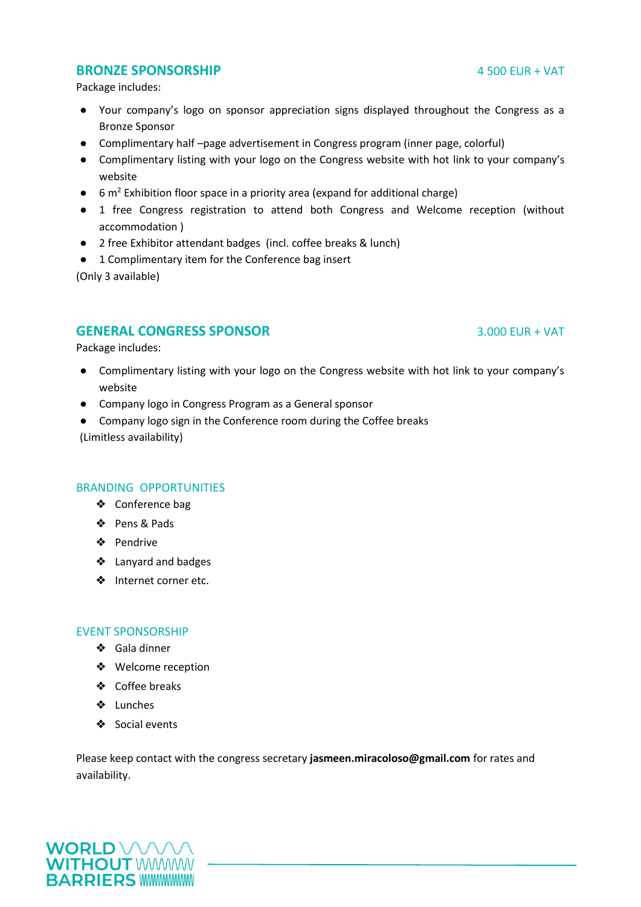#### **BRONZE SPONSORSHIP** 4 500 EUR + VAT

Package includes:

- Your company's logo on sponsor appreciation signs displayed throughout the Congress as a Bronze Sponsor
- Complimentary half –page advertisement in Congress program (inner page, colorful)
- Complimentary listing with your logo on the Congress website with hot link to your company's website
- $\bullet$  6 m<sup>2</sup> Exhibition floor space in a priority area (expand for additional charge)
- 1 free Congress registration to attend both Congress and Welcome reception (without accommodation )
- 2 free Exhibitor attendant badges (incl. coffee breaks & lunch)
- 1 Complimentary item for the Conference bag insert

(Only 3 available)

#### **GENERAL CONGRESS SPONSOR** 3.000 EUR + VAT

Package includes:

- Complimentary listing with your logo on the Congress website with hot link to your company's website
- Company logo in Congress Program as a General sponsor
- Company logo sign in the Conference room during the Coffee breaks (Limitless availability)

#### BRANDING OPPORTUNITIES

- ❖ Conference bag
- ❖ Pens & Pads
- ❖ Pendrive
- ❖ Lanyard and badges
- ❖ Internet corner etc.

#### EVENT SPONSORSHIP

- ❖ Gala dinner
- ❖ Welcome reception
- ❖ Coffee breaks
- ❖ Lunches
- ❖ Social events

Please keep contact with the congress secretary **jasmeen.miracoloso@gmail.com** for rates and availability.

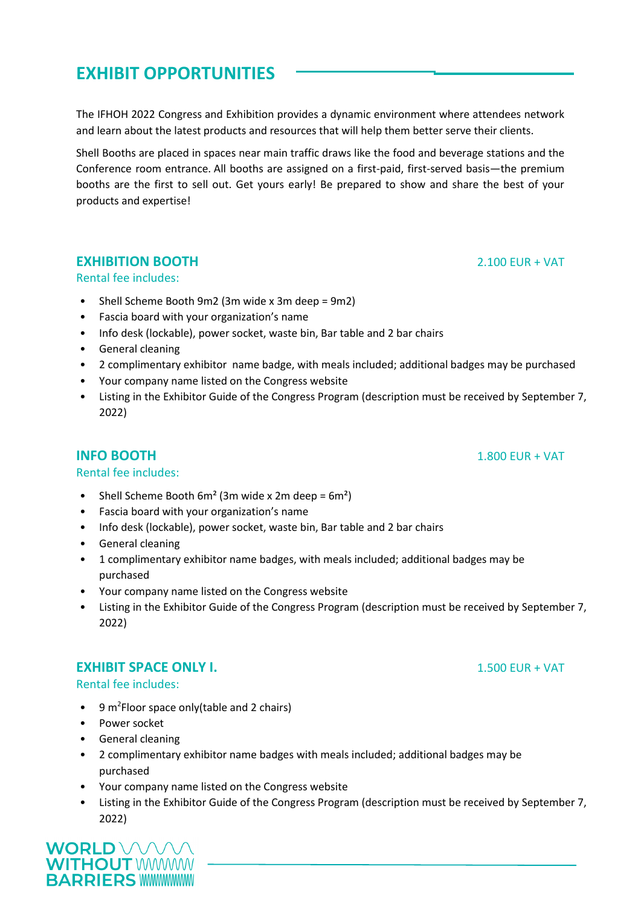# **EXHIBIT OPPORTUNITIES**

The IFHOH 2022 Congress and Exhibition provides a dynamic environment where attendees network and learn about the latest products and resources that will help them better serve their clients.

Shell Booths are placed in spaces near main traffic draws like the food and beverage stations and the Conference room entrance. All booths are assigned on a first-paid, first-served basis—the premium booths are the first to sell out. Get yours early! Be prepared to show and share the best of your products and expertise!

### **EXHIBITION BOOTH** 2.100 EUR + VAT

#### Rental fee includes:

- Shell Scheme Booth 9m2 (3m wide x 3m deep = 9m2)
- Fascia board with your organization's name
- Info desk (lockable), power socket, waste bin, Bar table and 2 bar chairs
- General cleaning
- 2 complimentary exhibitor name badge, with meals included; additional badges may be purchased
- Your company name listed on the Congress website
- Listing in the Exhibitor Guide of the Congress Program (description must be received by September 7, 2022)

### **INFO BOOTH** 1.800 EUR + VAT

#### Rental fee includes:

- Shell Scheme Booth  $6m^2$  (3m wide x 2m deep =  $6m^2$ )
- Fascia board with your organization's name
- Info desk (lockable), power socket, waste bin, Bar table and 2 bar chairs
- General cleaning
- 1 complimentary exhibitor name badges, with meals included; additional badges may be purchased
- Your company name listed on the Congress website
- Listing in the Exhibitor Guide of the Congress Program (description must be received by September 7, 2022)

#### **EXHIBIT SPACE ONLY I.** 1.500 EUR + VAT

#### Rental fee includes:

- $\bullet$  9 m<sup>2</sup> Floor space only (table and 2 chairs)
- Power socket
- General cleaning
- 2 complimentary exhibitor name badges with meals included; additional badges may be purchased
- Your company name listed on the Congress website
- Listing in the Exhibitor Guide of the Congress Program (description must be received by September 7, 2022)

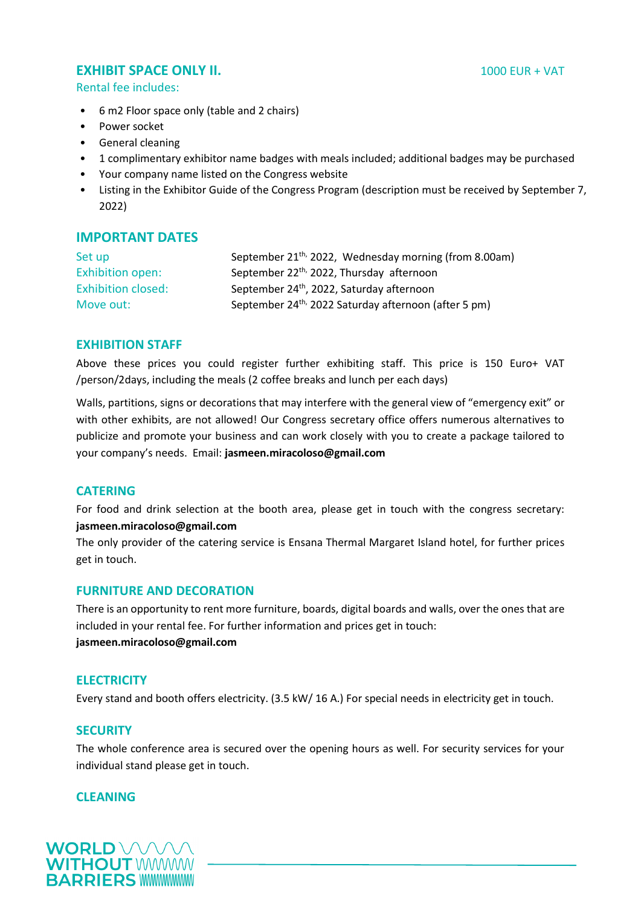### **EXHIBIT SPACE ONLY II.** 1000 EUR + VAT

Rental fee includes:

- 6 m2 Floor space only (table and 2 chairs)
- Power socket
- General cleaning
- 1 complimentary exhibitor name badges with meals included; additional badges may be purchased
- Your company name listed on the Congress website
- Listing in the Exhibitor Guide of the Congress Program (description must be received by September 7, 2022)

### **IMPORTANT DATES**

| Set up                    | September 21 <sup>th,</sup> 2022, Wednesday morning (from 8.00am) |
|---------------------------|-------------------------------------------------------------------|
| <b>Exhibition open:</b>   | September 22 <sup>th,</sup> 2022, Thursday afternoon              |
| <b>Exhibition closed:</b> | September 24 <sup>th</sup> , 2022, Saturday afternoon             |
| Move out:                 | September 24 <sup>th,</sup> 2022 Saturday afternoon (after 5 pm)  |

#### **EXHIBITION STAFF**

Above these prices you could register further exhibiting staff. This price is 150 Euro+ VAT /person/2days, including the meals (2 coffee breaks and lunch per each days)

Walls, partitions, signs or decorations that may interfere with the general view of "emergency exit" or with other exhibits, are not allowed! Our Congress secretary office offers numerous alternatives to publicize and promote your business and can work closely with you to create a package tailored to your company's needs. Email: **jasmeen.miracoloso@gmail.com**

#### **CATERING**

For food and drink selection at the booth area, please get in touch with the congress secretary: **jasmeen.miracoloso@gmail.com**

The only provider of the catering service is Ensana Thermal Margaret Island hotel, for further prices get in touch.

#### **FURNITURE AND DECORATION**

There is an opportunity to rent more furniture, boards, digital boards and walls, over the ones that are included in your rental fee. For further information and prices get in touch: **jasmeen.miracoloso@gmail.com**

#### **ELECTRICITY**

Every stand and booth offers electricity. (3.5 kW/ 16 A.) For special needs in electricity get in touch.

#### **SECURITY**

The whole conference area is secured over the opening hours as well. For security services for your individual stand please get in touch.

#### **CLEANING**

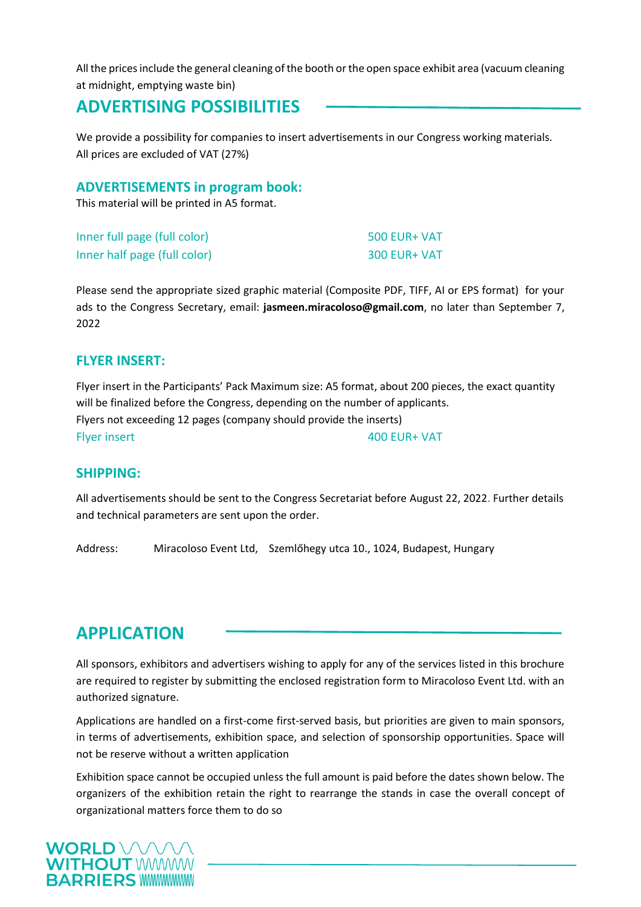All the prices include the general cleaning of the booth or the open space exhibit area (vacuum cleaning at midnight, emptying waste bin)

# **ADVERTISING POSSIBILITIES**

We provide a possibility for companies to insert advertisements in our Congress working materials. All prices are excluded of VAT (27%)

#### **ADVERTISEMENTS in program book:**

This material will be printed in A5 format.

| Inner full page (full color) | $500$ EUR+ VAT |
|------------------------------|----------------|
| Inner half page (full color) | $300$ EUR+ VAT |

Please send the appropriate sized graphic material (Composite PDF, TIFF, AI or EPS format) for your ads to the Congress Secretary, email: **jasmeen.miracoloso@gmail.com**, no later than September 7, 2022

#### **FLYER INSERT:**

Flyer insert in the Participants' Pack Maximum size: A5 format, about 200 pieces, the exact quantity will be finalized before the Congress, depending on the number of applicants. Flyers not exceeding 12 pages (company should provide the inserts) Flyer insert 100 CUR+ VAT

#### **SHIPPING:**

All advertisements should be sent to the Congress Secretariat before August 22, 2022. Further details and technical parameters are sent upon the order.

Address: Miracoloso Event Ltd, Szemlőhegy utca 10., 1024, Budapest, Hungary

## **APPLICATION**

All sponsors, exhibitors and advertisers wishing to apply for any of the services listed in this brochure are required to register by submitting the enclosed registration form to Miracoloso Event Ltd. with an authorized signature.

Applications are handled on a first-come first-served basis, but priorities are given to main sponsors, in terms of advertisements, exhibition space, and selection of sponsorship opportunities. Space will not be reserve without a written application

Exhibition space cannot be occupied unless the full amount is paid before the dates shown below. The organizers of the exhibition retain the right to rearrange the stands in case the overall concept of organizational matters force them to do so